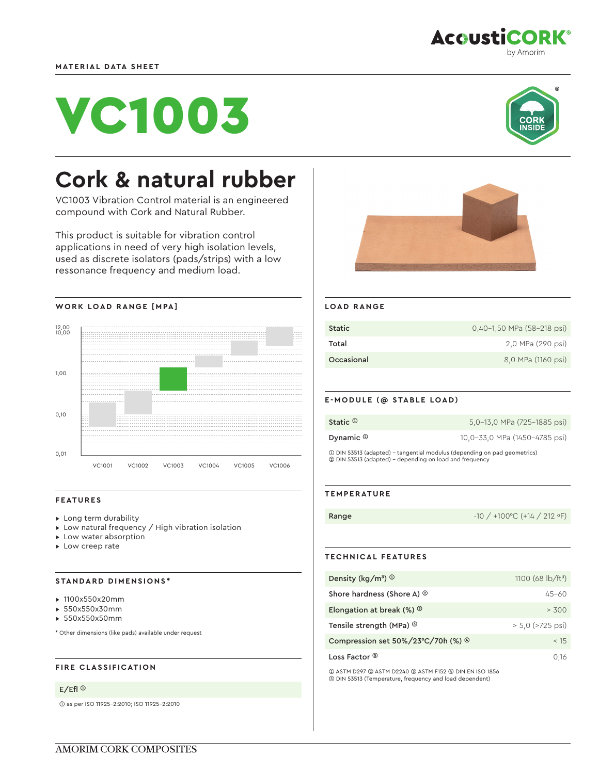



by Amorim

**AcoustiCORK®** 

# **Cork & natural rubber**

VC1003 Vibration Control material is an engineered compound with Cork and Natural Rubber.

This product is suitable for vibration control applications in need of very high isolation levels, used as discrete isolators (pads/strips) with a low ressonance frequency and medium load.





#### **FEATURES**

- ▸ Long term durability
- ▸ Low natural frequency / High vibration isolation
- ▸ Low water absorption
- ▸ Low creep rate

### **STANDARD DIMENSIONS\***

- ▸ 1100x550x20mm
- ▸ 550x550x30mm
- ▸ 550x550x50mm

\* Other dimensions (like pads) available under request

## **FIRE CLASSIFICATION**

### E/Efl ➀

➀ as per ISO 11925-2:2010; ISO 11925-2:2010



#### **LOAD RANGE**

| <b>Static</b> | 0,40-1,50 MPa (58-218 psi) |
|---------------|----------------------------|
| Total         | 2.0 MPa (290 psi)          |
| Occasional    | 8,0 MPa (1160 psi)         |

#### **E-MODULE (@ STABLE LOAD)**

| Static $^{\text{\textregistered}}$ | 5,0-13,0 MPa (725-1885 psi)                                               |
|------------------------------------|---------------------------------------------------------------------------|
| Dynamic ®                          | 10,0-33,0 MPa (1450-4785 psi)                                             |
|                                    | 10 DIN 53513 (adapted) - tangential modulus (depending on pad geometrics) |

➀ DIN 53513 (adapted) - tangential modulus (depending on pad geometrics) ➁ DIN 53513 (adapted) - depending on load and frequency

### **TEMPERATURE**

Range -10 / +100 °C (+14 / 212 °F)

## **TECHNICAL FEATURES**

| Density (kg/m <sup>3</sup> ) $\circledcirc$           | 1100 (68 $\frac{1}{2}$ b/ft <sup>3</sup> ) |
|-------------------------------------------------------|--------------------------------------------|
| Shore hardness (Shore A) <sup>2</sup>                 | $45 - 60$                                  |
| Elongation at break $(\%)$                            | > 300                                      |
| Tensile strength (MPa) <sup>3</sup>                   | $> 5.0$ ( $> 725$ psi)                     |
| Compression set $50\%/23^{\circ}C/70h$ (%) $^{\circ}$ | < 15                                       |
| Loss Factor ®                                         | 0.16                                       |

➀ ASTM D297 ➁ ASTM D2240 ➂ ASTM F152 ➃ DIN EN ISO 1856 ➄ DIN 53513 (Temperature, frequency and load dependent)